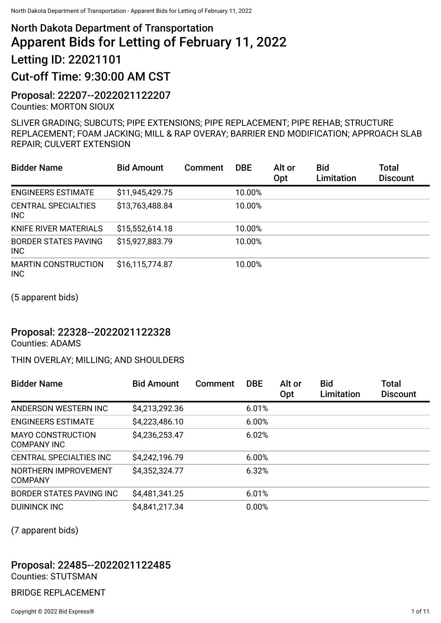# North Dakota Department of Transportation Apparent Bids for Letting of February 11, 2022 Letting ID: 22021101

## Cut-off Time: 9:30:00 AM CST

Proposal: 22207--2022021122207 Counties: MORTON SIOUX

SLIVER GRADING; SUBCUTS; PIPE EXTENSIONS; PIPE REPLACEMENT; PIPE REHAB; STRUCTURE REPLACEMENT; FOAM JACKING; MILL & RAP OVERAY; BARRIER END MODIFICATION; APPROACH SLAB REPAIR; CULVERT EXTENSION

| <b>Bidder Name</b>                        | <b>Bid Amount</b> | Comment | <b>DBE</b> | Alt or<br>Opt | <b>Bid</b><br>Limitation | Total<br><b>Discount</b> |
|-------------------------------------------|-------------------|---------|------------|---------------|--------------------------|--------------------------|
| <b>ENGINEERS ESTIMATE</b>                 | \$11,945,429.75   |         | 10.00%     |               |                          |                          |
| <b>CENTRAL SPECIALTIES</b><br><b>INC</b>  | \$13,763,488.84   |         | 10.00%     |               |                          |                          |
| <b>KNIFE RIVER MATERIALS</b>              | \$15,552,614.18   |         | 10.00%     |               |                          |                          |
| <b>BORDER STATES PAVING</b><br><b>INC</b> | \$15,927,883.79   |         | 10.00%     |               |                          |                          |
| <b>MARTIN CONSTRUCTION</b><br><b>INC</b>  | \$16,115,774.87   |         | 10.00%     |               |                          |                          |

(5 apparent bids)

#### Proposal: 22328--2022021122328

Counties: ADAMS

#### THIN OVERLAY; MILLING; AND SHOULDERS

| <b>Bidder Name</b>                      | <b>Bid Amount</b> | Comment | <b>DBE</b> | Alt or<br>Opt | <b>Bid</b><br>Limitation | Total<br><b>Discount</b> |
|-----------------------------------------|-------------------|---------|------------|---------------|--------------------------|--------------------------|
| ANDERSON WESTERN INC                    | \$4,213,292.36    |         | 6.01%      |               |                          |                          |
| <b>ENGINEERS ESTIMATE</b>               | \$4,223,486.10    |         | 6.00%      |               |                          |                          |
| <b>MAYO CONSTRUCTION</b><br>COMPANY INC | \$4,236,253.47    |         | 6.02%      |               |                          |                          |
| <b>CENTRAL SPECIALTIES INC</b>          | \$4,242,196.79    |         | 6.00%      |               |                          |                          |
| NORTHERN IMPROVEMENT<br><b>COMPANY</b>  | \$4,352,324.77    |         | 6.32%      |               |                          |                          |
| BORDER STATES PAVING INC                | \$4,481,341.25    |         | 6.01%      |               |                          |                          |
| <b>DUININCK INC</b>                     | \$4,841,217.34    |         | 0.00%      |               |                          |                          |

(7 apparent bids)

## Proposal: 22485--2022021122485

Counties: STUTSMAN

BRIDGE REPLACEMENT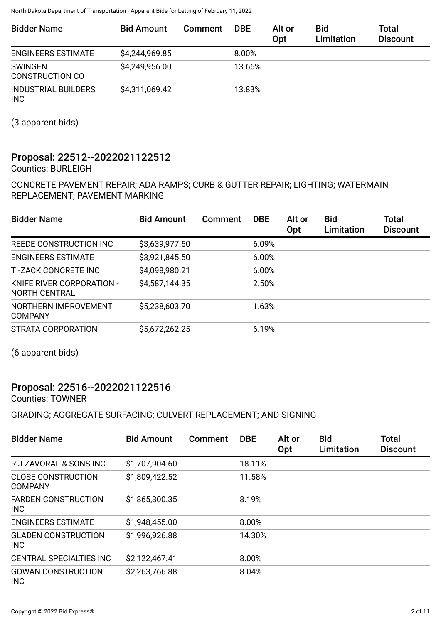| <b>Bidder Name</b>                       | <b>Bid Amount</b> | Comment | <b>DBE</b> | Alt or<br>Opt | <b>Bid</b><br>Limitation | Total<br><b>Discount</b> |
|------------------------------------------|-------------------|---------|------------|---------------|--------------------------|--------------------------|
| <b>ENGINEERS ESTIMATE</b>                | \$4,244,969.85    |         | $8.00\%$   |               |                          |                          |
| <b>SWINGEN</b><br><b>CONSTRUCTION CO</b> | \$4,249,956.00    |         | 13.66%     |               |                          |                          |
| <b>INDUSTRIAL BUILDERS</b><br><b>INC</b> | \$4,311,069.42    |         | 13.83%     |               |                          |                          |

(3 apparent bids)

## Proposal: 22512--2022021122512

Counties: BURLEIGH

#### CONCRETE PAVEMENT REPAIR; ADA RAMPS; CURB & GUTTER REPAIR; LIGHTING; WATERMAIN REPLACEMENT; PAVEMENT MARKING

| <b>Bidder Name</b>                         | <b>Bid Amount</b> | <b>Comment</b> | <b>DBE</b> | Alt or<br>Opt | <b>Bid</b><br>Limitation | <b>Total</b><br><b>Discount</b> |
|--------------------------------------------|-------------------|----------------|------------|---------------|--------------------------|---------------------------------|
| REEDE CONSTRUCTION INC                     | \$3,639,977.50    |                | 6.09%      |               |                          |                                 |
| <b>ENGINEERS ESTIMATE</b>                  | \$3,921,845.50    |                | 6.00%      |               |                          |                                 |
| <b>TI-ZACK CONCRETE INC</b>                | \$4,098,980.21    |                | 6.00%      |               |                          |                                 |
| KNIFE RIVER CORPORATION -<br>NORTH CENTRAL | \$4,587,144.35    |                | 2.50%      |               |                          |                                 |
| NORTHERN IMPROVEMENT<br><b>COMPANY</b>     | \$5,238,603.70    |                | 1.63%      |               |                          |                                 |
| STRATA CORPORATION                         | \$5,672,262.25    |                | 6.19%      |               |                          |                                 |

(6 apparent bids)

## Proposal: 22516--2022021122516

Counties: TOWNER

#### GRADING; AGGREGATE SURFACING; CULVERT REPLACEMENT; AND SIGNING

| <b>Bidder Name</b>                          | <b>Bid Amount</b> | Comment | <b>DBE</b> | Alt or<br>Opt | <b>Bid</b><br>Limitation | <b>Total</b><br><b>Discount</b> |
|---------------------------------------------|-------------------|---------|------------|---------------|--------------------------|---------------------------------|
| R J ZAVORAL & SONS INC                      | \$1,707,904.60    |         | 18.11%     |               |                          |                                 |
| <b>CLOSE CONSTRUCTION</b><br><b>COMPANY</b> | \$1,809,422.52    |         | 11.58%     |               |                          |                                 |
| <b>FARDEN CONSTRUCTION</b><br><b>INC</b>    | \$1,865,300.35    |         | 8.19%      |               |                          |                                 |
| <b>ENGINEERS ESTIMATE</b>                   | \$1,948,455.00    |         | 8.00%      |               |                          |                                 |
| <b>GLADEN CONSTRUCTION</b><br><b>INC</b>    | \$1,996,926.88    |         | 14.30%     |               |                          |                                 |
| CENTRAL SPECIALTIES INC                     | \$2,122,467.41    |         | 8.00%      |               |                          |                                 |
| <b>GOWAN CONSTRUCTION</b><br><b>INC</b>     | \$2,263,766.88    |         | 8.04%      |               |                          |                                 |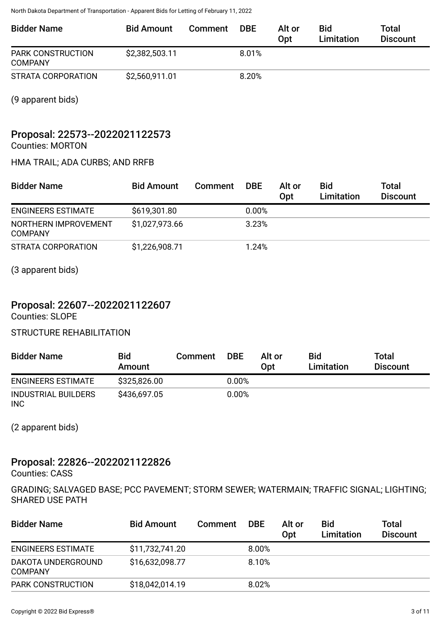| <b>Bidder Name</b>                  | <b>Bid Amount</b> | Comment | <b>DBE</b> | Alt or<br>Opt | <b>Bid</b><br>Limitation | Total<br><b>Discount</b> |
|-------------------------------------|-------------------|---------|------------|---------------|--------------------------|--------------------------|
| PARK CONSTRUCTION<br><b>COMPANY</b> | \$2,382,503.11    |         | $8.01\%$   |               |                          |                          |
| STRATA CORPORATION                  | \$2,560,911.01    |         | 8.20%      |               |                          |                          |

(9 apparent bids)

## Proposal: 22573--2022021122573

Counties: MORTON

#### HMA TRAIL; ADA CURBS; AND RRFB

| <b>Bidder Name</b>                     | <b>Bid Amount</b> | Comment | <b>DBE</b> | Alt or<br>Opt | <b>Bid</b><br>Limitation | Total<br><b>Discount</b> |
|----------------------------------------|-------------------|---------|------------|---------------|--------------------------|--------------------------|
| <b>ENGINEERS ESTIMATE</b>              | \$619,301.80      |         | 0.00%      |               |                          |                          |
| NORTHERN IMPROVEMENT<br><b>COMPANY</b> | \$1,027,973.66    |         | 3.23%      |               |                          |                          |
| STRATA CORPORATION                     | \$1,226,908.71    |         | 1.24%      |               |                          |                          |

(3 apparent bids)

## Proposal: 22607--2022021122607

Counties: SLOPE

#### STRUCTURE REHABILITATION

| <b>Bidder Name</b>                       | <b>Bid</b><br>Amount | Comment | <b>DBE</b> | Alt or<br>Opt | <b>Bid</b><br>Limitation | <b>Total</b><br><b>Discount</b> |
|------------------------------------------|----------------------|---------|------------|---------------|--------------------------|---------------------------------|
| <b>ENGINEERS ESTIMATE</b>                | \$325,826,00         |         | $0.00\%$   |               |                          |                                 |
| <b>INDUSTRIAL BUILDERS</b><br><b>INC</b> | \$436,697.05         |         | $0.00\%$   |               |                          |                                 |

(2 apparent bids)

## Proposal: 22826--2022021122826

Counties: CASS

GRADING; SALVAGED BASE; PCC PAVEMENT; STORM SEWER; WATERMAIN; TRAFFIC SIGNAL; LIGHTING; SHARED USE PATH

| <b>Bidder Name</b>                   | <b>Bid Amount</b> | <b>Comment</b> | <b>DBE</b> | Alt or<br>Opt | <b>Bid</b><br><b>Limitation</b> | Total<br><b>Discount</b> |
|--------------------------------------|-------------------|----------------|------------|---------------|---------------------------------|--------------------------|
| <b>ENGINEERS ESTIMATE</b>            | \$11,732,741.20   |                | 8.00%      |               |                                 |                          |
| DAKOTA UNDERGROUND<br><b>COMPANY</b> | \$16,632,098.77   |                | 8.10%      |               |                                 |                          |
| <b>PARK CONSTRUCTION</b>             | \$18,042,014.19   |                | 8.02%      |               |                                 |                          |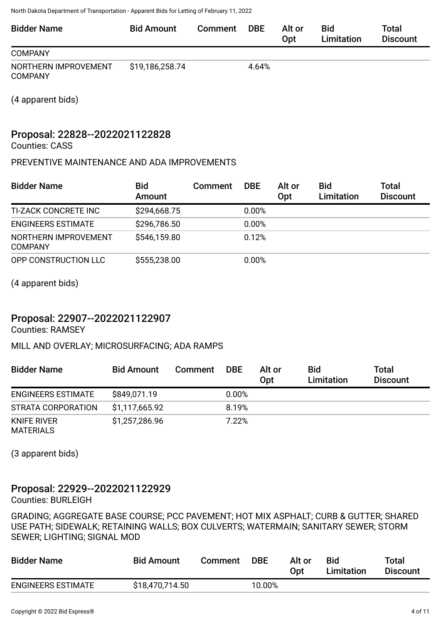| <b>Bidder Name</b>   | <b>Bid Amount</b> | Comment | <b>DBE</b> | Alt or<br>Opt | Bid<br>Limitation | Total<br><b>Discount</b> |
|----------------------|-------------------|---------|------------|---------------|-------------------|--------------------------|
| <b>COMPANY</b>       |                   |         |            |               |                   |                          |
| NORTHERN IMPROVEMENT | \$19,186,258.74   |         | 4.64%      |               |                   |                          |

(4 apparent bids)

COMPANY

## Proposal: 22828--2022021122828

Counties: CASS

#### PREVENTIVE MAINTENANCE AND ADA IMPROVEMENTS

| <b>Bidder Name</b>                     | <b>Bid</b><br>Amount | <b>Comment</b> | <b>DBE</b> | Alt or<br>Opt | <b>Bid</b><br>Limitation | <b>Total</b><br><b>Discount</b> |
|----------------------------------------|----------------------|----------------|------------|---------------|--------------------------|---------------------------------|
| <b>TI-ZACK CONCRETE INC</b>            | \$294,668.75         |                | 0.00%      |               |                          |                                 |
| <b>ENGINEERS ESTIMATE</b>              | \$296,786.50         |                | 0.00%      |               |                          |                                 |
| NORTHERN IMPROVEMENT<br><b>COMPANY</b> | \$546,159.80         |                | 0.12%      |               |                          |                                 |
| OPP CONSTRUCTION LLC                   | \$555,238.00         |                | 0.00%      |               |                          |                                 |

(4 apparent bids)

## Proposal: 22907--2022021122907

Counties: RAMSEY

MILL AND OVERLAY; MICROSURFACING; ADA RAMPS

| <b>Bidder Name</b>              | <b>Bid Amount</b> | Comment | <b>DBE</b> | Alt or<br>Opt | <b>Bid</b><br><b>Limitation</b> | Total<br><b>Discount</b> |
|---------------------------------|-------------------|---------|------------|---------------|---------------------------------|--------------------------|
| <b>ENGINEERS ESTIMATE</b>       | \$849,071.19      |         | $0.00\%$   |               |                                 |                          |
| STRATA CORPORATION              | \$1,117,665.92    |         | 8.19%      |               |                                 |                          |
| KNIFE RIVER<br><b>MATERIALS</b> | \$1,257,286.96    |         | 7.22%      |               |                                 |                          |

(3 apparent bids)

## Proposal: 22929--2022021122929

Counties: BURLEIGH

GRADING; AGGREGATE BASE COURSE; PCC PAVEMENT; HOT MIX ASPHALT; CURB & GUTTER; SHARED USE PATH; SIDEWALK; RETAINING WALLS; BOX CULVERTS; WATERMAIN; SANITARY SEWER; STORM SEWER; LIGHTING; SIGNAL MOD

| <b>Bidder Name</b>        | <b>Bid Amount</b> | Comment | DBE    | Alt or<br>Opt | Bid<br>Limitation | Total<br><b>Discount</b> |
|---------------------------|-------------------|---------|--------|---------------|-------------------|--------------------------|
| <b>ENGINEERS ESTIMATE</b> | \$18,470,714.50   |         | 10.00% |               |                   |                          |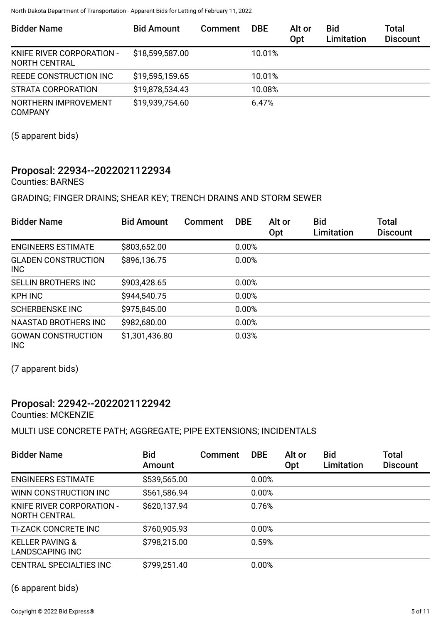| <b>Bidder Name</b>                         | <b>Bid Amount</b> | <b>Comment</b> | <b>DBE</b> | Alt or<br>Opt | <b>Bid</b><br>Limitation | Total<br><b>Discount</b> |
|--------------------------------------------|-------------------|----------------|------------|---------------|--------------------------|--------------------------|
| KNIFE RIVER CORPORATION -<br>NORTH CENTRAL | \$18,599,587.00   |                | 10.01%     |               |                          |                          |
| REEDE CONSTRUCTION INC                     | \$19,595,159.65   |                | 10.01%     |               |                          |                          |
| STRATA CORPORATION                         | \$19,878,534.43   |                | 10.08%     |               |                          |                          |
| NORTHERN IMPROVEMENT<br><b>COMPANY</b>     | \$19,939,754.60   |                | 6.47%      |               |                          |                          |

(5 apparent bids)

## Proposal: 22934--2022021122934

Counties: BARNES

GRADING; FINGER DRAINS; SHEAR KEY; TRENCH DRAINS AND STORM SEWER

| <b>Bidder Name</b>                       | <b>Bid Amount</b> | Comment | <b>DBE</b> | Alt or<br><b>Opt</b> | <b>Bid</b><br>Limitation | Total<br><b>Discount</b> |
|------------------------------------------|-------------------|---------|------------|----------------------|--------------------------|--------------------------|
| <b>ENGINEERS ESTIMATE</b>                | \$803,652.00      |         | 0.00%      |                      |                          |                          |
| <b>GLADEN CONSTRUCTION</b><br><b>INC</b> | \$896,136.75      |         | 0.00%      |                      |                          |                          |
| <b>SELLIN BROTHERS INC</b>               | \$903,428.65      |         | 0.00%      |                      |                          |                          |
| <b>KPH INC</b>                           | \$944,540.75      |         | 0.00%      |                      |                          |                          |
| <b>SCHERBENSKE INC</b>                   | \$975,845.00      |         | 0.00%      |                      |                          |                          |
| <b>NAASTAD BROTHERS INC</b>              | \$982,680.00      |         | 0.00%      |                      |                          |                          |
| <b>GOWAN CONSTRUCTION</b><br><b>INC</b>  | \$1,301,436.80    |         | 0.03%      |                      |                          |                          |

(7 apparent bids)

### Proposal: 22942--2022021122942

Counties: MCKENZIE

#### MULTI USE CONCRETE PATH; AGGREGATE; PIPE EXTENSIONS; INCIDENTALS

| <b>Bidder Name</b>                                   | <b>Bid</b><br>Amount | Comment | <b>DBE</b> | Alt or<br>Opt | <b>Bid</b><br>Limitation | Total<br><b>Discount</b> |
|------------------------------------------------------|----------------------|---------|------------|---------------|--------------------------|--------------------------|
| <b>ENGINEERS ESTIMATE</b>                            | \$539,565.00         |         | 0.00%      |               |                          |                          |
| WINN CONSTRUCTION INC                                | \$561,586.94         |         | 0.00%      |               |                          |                          |
| <b>KNIFE RIVER CORPORATION -</b><br>NORTH CENTRAL    | \$620,137.94         |         | 0.76%      |               |                          |                          |
| <b>TI-ZACK CONCRETE INC</b>                          | \$760,905.93         |         | 0.00%      |               |                          |                          |
| <b>KELLER PAVING &amp;</b><br><b>LANDSCAPING INC</b> | \$798,215.00         |         | 0.59%      |               |                          |                          |
| <b>CENTRAL SPECIALTIES INC</b>                       | \$799,251.40         |         | 0.00%      |               |                          |                          |

(6 apparent bids)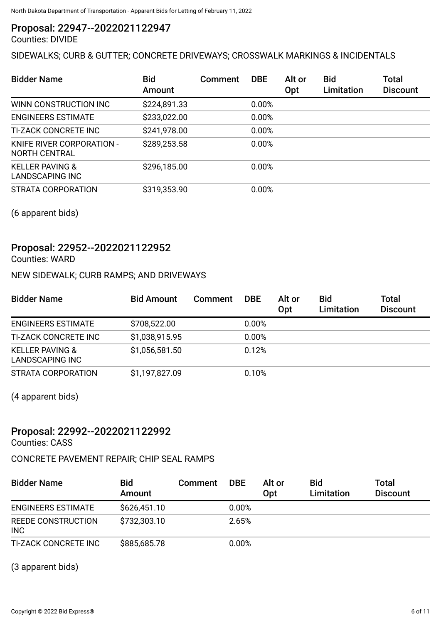### Proposal: 22947--2022021122947

Counties: DIVIDE

## SIDEWALKS; CURB & GUTTER; CONCRETE DRIVEWAYS; CROSSWALK MARKINGS & INCIDENTALS

| <b>Bidder Name</b>                            | <b>Bid</b><br>Amount | <b>Comment</b> | <b>DBE</b> | Alt or<br>Opt | <b>Bid</b><br>Limitation | <b>Total</b><br><b>Discount</b> |
|-----------------------------------------------|----------------------|----------------|------------|---------------|--------------------------|---------------------------------|
| WINN CONSTRUCTION INC                         | \$224,891.33         |                | 0.00%      |               |                          |                                 |
| <b>ENGINEERS ESTIMATE</b>                     | \$233,022.00         |                | 0.00%      |               |                          |                                 |
| <b>TI-ZACK CONCRETE INC</b>                   | \$241,978.00         |                | 0.00%      |               |                          |                                 |
| KNIFE RIVER CORPORATION -<br>NORTH CENTRAL    | \$289,253.58         |                | 0.00%      |               |                          |                                 |
| <b>KELLER PAVING &amp;</b><br>LANDSCAPING INC | \$296,185.00         |                | 0.00%      |               |                          |                                 |
| STRATA CORPORATION                            | \$319,353.90         |                | 0.00%      |               |                          |                                 |

(6 apparent bids)

## Proposal: 22952--2022021122952

Counties: WARD

#### NEW SIDEWALK; CURB RAMPS; AND DRIVEWAYS

| <b>Bidder Name</b>                                   | <b>Bid Amount</b> | Comment | <b>DBE</b> | Alt or<br>Opt | <b>Bid</b><br>Limitation | Total<br><b>Discount</b> |
|------------------------------------------------------|-------------------|---------|------------|---------------|--------------------------|--------------------------|
| <b>ENGINEERS ESTIMATE</b>                            | \$708,522.00      |         | 0.00%      |               |                          |                          |
| <b>TI-ZACK CONCRETE INC</b>                          | \$1,038,915.95    |         | 0.00%      |               |                          |                          |
| <b>KELLER PAVING &amp;</b><br><b>LANDSCAPING INC</b> | \$1,056,581.50    |         | 0.12%      |               |                          |                          |
| STRATA CORPORATION                                   | \$1,197,827.09    |         | 0.10%      |               |                          |                          |

(4 apparent bids)

### Proposal: 22992--2022021122992

Counties: CASS

#### CONCRETE PAVEMENT REPAIR; CHIP SEAL RAMPS

| <b>Bidder Name</b>               | <b>Bid</b><br>Amount | <b>Comment</b> | <b>DBE</b> | Alt or<br>Opt | <b>Bid</b><br>Limitation | <b>Total</b><br><b>Discount</b> |
|----------------------------------|----------------------|----------------|------------|---------------|--------------------------|---------------------------------|
| <b>ENGINEERS ESTIMATE</b>        | \$626,451.10         |                | 0.00%      |               |                          |                                 |
| REEDE CONSTRUCTION<br><b>INC</b> | \$732,303.10         |                | 2.65%      |               |                          |                                 |
| TI-ZACK CONCRETE INC             | \$885,685.78         |                | 0.00%      |               |                          |                                 |

(3 apparent bids)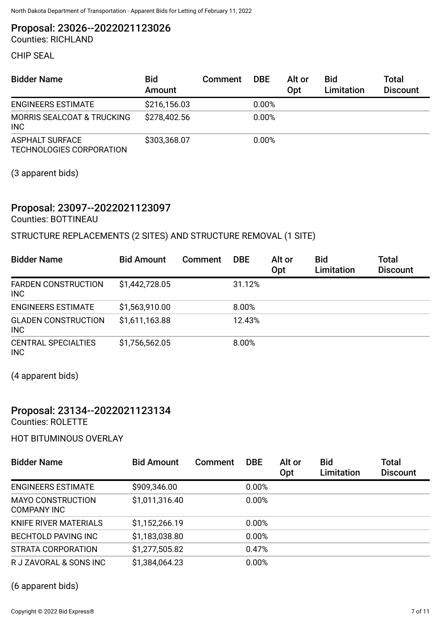Proposal: 23026--2022021123026

Counties: RICHLAND

CHIP SEAL

| <b>Bidder Name</b>                                  | <b>Bid</b><br>Amount | Comment | <b>DBE</b> | Alt or<br>Opt | <b>Bid</b><br>Limitation | Total<br><b>Discount</b> |
|-----------------------------------------------------|----------------------|---------|------------|---------------|--------------------------|--------------------------|
| <b>ENGINEERS ESTIMATE</b>                           | \$216,156.03         |         | $0.00\%$   |               |                          |                          |
| <b>MORRIS SEALCOAT &amp; TRUCKING</b><br><b>INC</b> | \$278,402.56         |         | 0.00%      |               |                          |                          |
| <b>ASPHALT SURFACE</b><br>TECHNOLOGIES CORPORATION  | \$303,368.07         |         | 0.00%      |               |                          |                          |

(3 apparent bids)

## Proposal: 23097--2022021123097

Counties: BOTTINEAU

### STRUCTURE REPLACEMENTS (2 SITES) AND STRUCTURE REMOVAL (1 SITE)

| <b>Bidder Name</b>                       | <b>Bid Amount</b> | Comment | <b>DBE</b> | Alt or<br>Opt | <b>Bid</b><br>Limitation | <b>Total</b><br><b>Discount</b> |
|------------------------------------------|-------------------|---------|------------|---------------|--------------------------|---------------------------------|
| <b>FARDEN CONSTRUCTION</b><br><b>INC</b> | \$1,442,728.05    |         | 31.12%     |               |                          |                                 |
| <b>ENGINEERS ESTIMATE</b>                | \$1,563,910.00    |         | 8.00%      |               |                          |                                 |
| <b>GLADEN CONSTRUCTION</b><br><b>INC</b> | \$1,611,163.88    |         | 12.43%     |               |                          |                                 |
| <b>CENTRAL SPECIALTIES</b><br><b>INC</b> | \$1,756,562.05    |         | 8.00%      |               |                          |                                 |

(4 apparent bids)

### Proposal: 23134--2022021123134

Counties: ROLETTE

HOT BITUMINOUS OVERLAY

| <b>Bidder Name</b>                      | <b>Bid Amount</b> | Comment | <b>DBE</b> | Alt or<br>Opt | <b>Bid</b><br><b>Limitation</b> | Total<br><b>Discount</b> |
|-----------------------------------------|-------------------|---------|------------|---------------|---------------------------------|--------------------------|
| <b>ENGINEERS ESTIMATE</b>               | \$909,346.00      |         | 0.00%      |               |                                 |                          |
| <b>MAYO CONSTRUCTION</b><br>COMPANY INC | \$1,011,316.40    |         | 0.00%      |               |                                 |                          |
| KNIFE RIVER MATERIALS                   | \$1,152,266.19    |         | 0.00%      |               |                                 |                          |
| <b>BECHTOLD PAVING INC</b>              | \$1,183,038.80    |         | 0.00%      |               |                                 |                          |
| STRATA CORPORATION                      | \$1,277,505.82    |         | 0.47%      |               |                                 |                          |
| R J ZAVORAL & SONS INC                  | \$1,384,064.23    |         | 0.00%      |               |                                 |                          |

(6 apparent bids)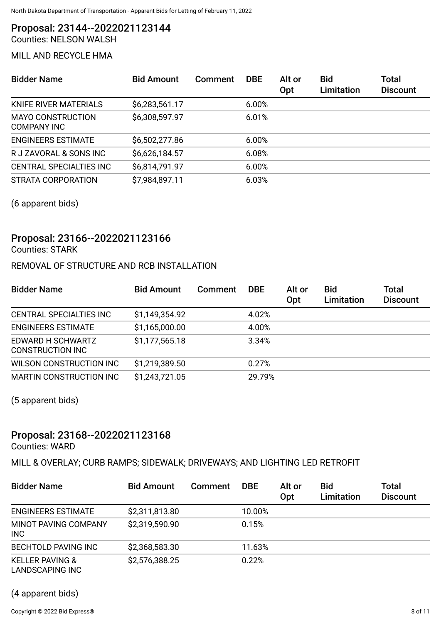Proposal: 23144--2022021123144 Counties: NELSON WALSH

### MILL AND RECYCLE HMA

| <b>Bidder Name</b>                             | <b>Bid Amount</b> | Comment | <b>DBE</b> | Alt or<br>Opt | Bid<br>Limitation | <b>Total</b><br><b>Discount</b> |
|------------------------------------------------|-------------------|---------|------------|---------------|-------------------|---------------------------------|
| KNIFE RIVER MATERIALS                          | \$6,283,561.17    |         | 6.00%      |               |                   |                                 |
| <b>MAYO CONSTRUCTION</b><br><b>COMPANY INC</b> | \$6,308,597.97    |         | 6.01%      |               |                   |                                 |
| <b>ENGINEERS ESTIMATE</b>                      | \$6,502,277.86    |         | 6.00%      |               |                   |                                 |
| R J ZAVORAL & SONS INC                         | \$6,626,184.57    |         | 6.08%      |               |                   |                                 |
| <b>CENTRAL SPECIALTIES INC</b>                 | \$6,814,791.97    |         | 6.00%      |               |                   |                                 |
| STRATA CORPORATION                             | \$7,984,897.11    |         | 6.03%      |               |                   |                                 |

(6 apparent bids)

## Proposal: 23166--2022021123166

Counties: STARK

#### REMOVAL OF STRUCTURE AND RCB INSTALLATION

| <b>Bidder Name</b>                           | <b>Bid Amount</b> | Comment | <b>DBE</b> | Alt or<br>Opt | <b>Bid</b><br>Limitation | Total<br><b>Discount</b> |
|----------------------------------------------|-------------------|---------|------------|---------------|--------------------------|--------------------------|
| CENTRAL SPECIALTIES INC                      | \$1,149,354.92    |         | 4.02%      |               |                          |                          |
| <b>ENGINEERS ESTIMATE</b>                    | \$1,165,000.00    |         | 4.00%      |               |                          |                          |
| EDWARD H SCHWARTZ<br><b>CONSTRUCTION INC</b> | \$1,177,565.18    |         | 3.34%      |               |                          |                          |
| WILSON CONSTRUCTION INC                      | \$1,219,389.50    |         | 0.27%      |               |                          |                          |
| <b>MARTIN CONSTRUCTION INC</b>               | \$1,243,721.05    |         | 29.79%     |               |                          |                          |

(5 apparent bids)

## Proposal: 23168--2022021123168

Counties: WARD

MILL & OVERLAY; CURB RAMPS; SIDEWALK; DRIVEWAYS; AND LIGHTING LED RETROFIT

| <b>Bidder Name</b>                                   | <b>Bid Amount</b> | Comment | <b>DBE</b> | Alt or<br>Opt | <b>Bid</b><br>Limitation | Total<br><b>Discount</b> |
|------------------------------------------------------|-------------------|---------|------------|---------------|--------------------------|--------------------------|
| <b>ENGINEERS ESTIMATE</b>                            | \$2,311,813.80    |         | 10.00%     |               |                          |                          |
| MINOT PAVING COMPANY<br><b>INC</b>                   | \$2,319,590.90    |         | 0.15%      |               |                          |                          |
| <b>BECHTOLD PAVING INC</b>                           | \$2,368,583.30    |         | 11.63%     |               |                          |                          |
| <b>KELLER PAVING &amp;</b><br><b>LANDSCAPING INC</b> | \$2,576,388.25    |         | 0.22%      |               |                          |                          |

(4 apparent bids)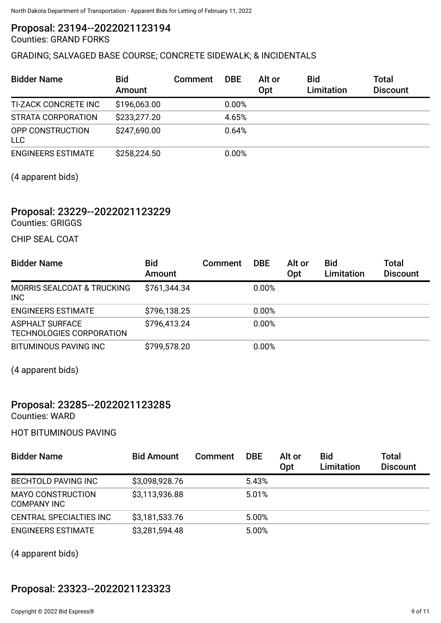## Proposal: 23194--2022021123194

## Counties: GRAND FORKS

#### GRADING; SALVAGED BASE COURSE; CONCRETE SIDEWALK; & INCIDENTALS

| <b>Bidder Name</b>             | <b>Bid</b><br>Amount | Comment | <b>DBE</b> | Alt or<br>Opt | <b>Bid</b><br><b>Limitation</b> | <b>Total</b><br><b>Discount</b> |
|--------------------------------|----------------------|---------|------------|---------------|---------------------------------|---------------------------------|
| TI-ZACK CONCRETE INC           | \$196,063.00         |         | 0.00%      |               |                                 |                                 |
| STRATA CORPORATION             | \$233,277.20         |         | 4.65%      |               |                                 |                                 |
| OPP CONSTRUCTION<br><b>LLC</b> | \$247,690.00         |         | 0.64%      |               |                                 |                                 |
| <b>ENGINEERS ESTIMATE</b>      | \$258,224.50         |         | 0.00%      |               |                                 |                                 |

(4 apparent bids)

### Proposal: 23229--2022021123229

Counties: GRIGGS

CHIP SEAL COAT

| <b>Bidder Name</b>                                  | <b>Bid</b><br>Amount | Comment | <b>DBE</b> | Alt or<br>Opt | <b>Bid</b><br>Limitation | Total<br><b>Discount</b> |
|-----------------------------------------------------|----------------------|---------|------------|---------------|--------------------------|--------------------------|
| <b>MORRIS SEALCOAT &amp; TRUCKING</b><br><b>INC</b> | \$761,344.34         |         | 0.00%      |               |                          |                          |
| <b>ENGINEERS ESTIMATE</b>                           | \$796,138.25         |         | 0.00%      |               |                          |                          |
| <b>ASPHALT SURFACE</b><br>TECHNOLOGIES CORPORATION  | \$796,413.24         |         | 0.00%      |               |                          |                          |
| <b>BITUMINOUS PAVING INC</b>                        | \$799,578.20         |         | 0.00%      |               |                          |                          |

(4 apparent bids)

## Proposal: 23285--2022021123285

Counties: WARD

HOT BITUMINOUS PAVING

| <b>Bidder Name</b>                             | <b>Bid Amount</b> | Comment | <b>DBE</b> | Alt or<br>Opt | <b>Bid</b><br>Limitation | Total<br><b>Discount</b> |
|------------------------------------------------|-------------------|---------|------------|---------------|--------------------------|--------------------------|
| <b>BECHTOLD PAVING INC</b>                     | \$3,098,928.76    |         | 5.43%      |               |                          |                          |
| <b>MAYO CONSTRUCTION</b><br><b>COMPANY INC</b> | \$3,113,936.88    |         | 5.01%      |               |                          |                          |
| <b>CENTRAL SPECIALTIES INC</b>                 | \$3,181,533.76    |         | 5.00%      |               |                          |                          |
| <b>ENGINEERS ESTIMATE</b>                      | \$3,281,594.48    |         | 5.00%      |               |                          |                          |

(4 apparent bids)

## Proposal: 23323--2022021123323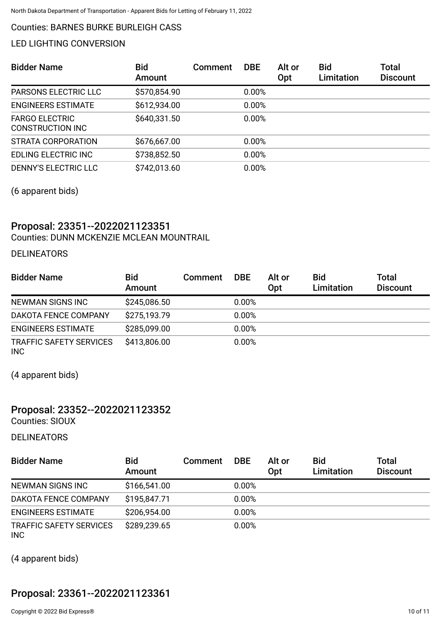#### Counties: BARNES BURKE BURLEIGH CASS

#### LED LIGHTING CONVERSION

| <b>Bidder Name</b>                               | <b>Bid</b><br>Amount | <b>Comment</b> | <b>DBE</b> | Alt or<br>Opt | <b>Bid</b><br>Limitation | Total<br><b>Discount</b> |
|--------------------------------------------------|----------------------|----------------|------------|---------------|--------------------------|--------------------------|
| <b>PARSONS ELECTRIC LLC</b>                      | \$570,854.90         |                | 0.00%      |               |                          |                          |
| <b>ENGINEERS ESTIMATE</b>                        | \$612,934.00         |                | 0.00%      |               |                          |                          |
| <b>FARGO ELECTRIC</b><br><b>CONSTRUCTION INC</b> | \$640,331.50         |                | 0.00%      |               |                          |                          |
| STRATA CORPORATION                               | \$676,667.00         |                | 0.00%      |               |                          |                          |
| <b>EDLING ELECTRIC INC</b>                       | \$738,852.50         |                | 0.00%      |               |                          |                          |
| <b>DENNY'S ELECTRIC LLC</b>                      | \$742,013.60         |                | 0.00%      |               |                          |                          |

(6 apparent bids)

## Proposal: 23351--2022021123351

Counties: DUNN MCKENZIE MCLEAN MOUNTRAIL

#### DELINEATORS

| <b>Bidder Name</b>                           | <b>Bid</b><br><b>Amount</b> | <b>Comment</b> | <b>DBE</b> | Alt or<br>Opt | <b>Bid</b><br>Limitation | <b>Total</b><br><b>Discount</b> |
|----------------------------------------------|-----------------------------|----------------|------------|---------------|--------------------------|---------------------------------|
| NEWMAN SIGNS INC                             | \$245,086.50                |                | 0.00%      |               |                          |                                 |
| DAKOTA FENCE COMPANY                         | \$275,193.79                |                | 0.00%      |               |                          |                                 |
| <b>ENGINEERS ESTIMATE</b>                    | \$285,099.00                |                | 0.00%      |               |                          |                                 |
| <b>TRAFFIC SAFETY SERVICES</b><br><b>INC</b> | \$413,806.00                |                | 0.00%      |               |                          |                                 |

(4 apparent bids)

## Proposal: 23352--2022021123352

Counties: SIOUX

DELINEATORS

| <b>Bidder Name</b>                           | <b>Bid</b><br>Amount | Comment | <b>DBE</b> | Alt or<br>Opt | <b>Bid</b><br><b>Limitation</b> | <b>Total</b><br><b>Discount</b> |
|----------------------------------------------|----------------------|---------|------------|---------------|---------------------------------|---------------------------------|
| NEWMAN SIGNS INC                             | \$166,541.00         |         | 0.00%      |               |                                 |                                 |
| DAKOTA FENCE COMPANY                         | \$195,847.71         |         | 0.00%      |               |                                 |                                 |
| <b>ENGINEERS ESTIMATE</b>                    | \$206,954.00         |         | 0.00%      |               |                                 |                                 |
| <b>TRAFFIC SAFETY SERVICES</b><br><b>INC</b> | \$289,239.65         |         | 0.00%      |               |                                 |                                 |

(4 apparent bids)

## Proposal: 23361--2022021123361